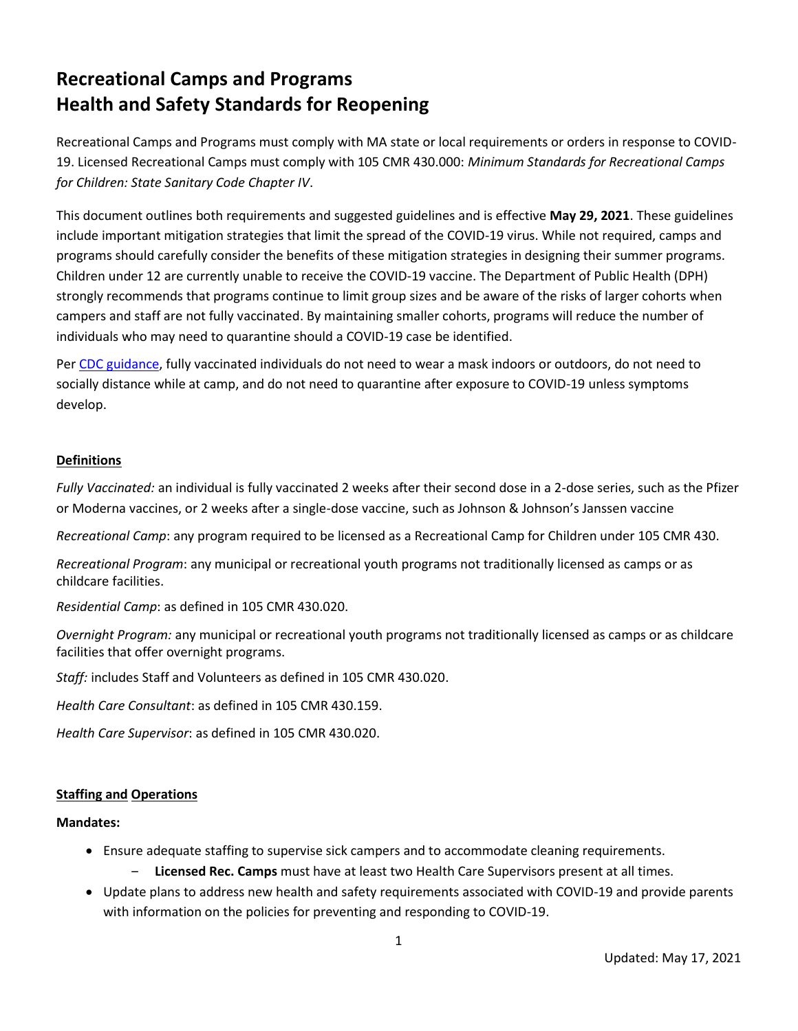# **Recreational Camps and Programs Health and Safety Standards for Reopening**

Recreational Camps and Programs must comply with MA state or local requirements or orders in response to COVID-19. Licensed Recreational Camps must comply with 105 CMR 430.000: *Minimum Standards for Recreational Camps for Children: State Sanitary Code Chapter IV*.

This document outlines both requirements and suggested guidelines and is effective **May 29, 2021**. These guidelines include important mitigation strategies that limit the spread of the COVID-19 virus. While not required, camps and programs should carefully consider the benefits of these mitigation strategies in designing their summer programs. Children under 12 are currently unable to receive the COVID-19 vaccine. The Department of Public Health (DPH) strongly recommends that programs continue to limit group sizes and be aware of the risks of larger cohorts when campers and staff are not fully vaccinated. By maintaining smaller cohorts, programs will reduce the number of individuals who may need to quarantine should a COVID-19 case be identified.

Pe[r CDC guidance,](https://www.cdc.gov/coronavirus/2019-ncov/vaccines/fully-vaccinated.html) fully vaccinated individuals do not need to wear a mask indoors or outdoors, do not need to socially distance while at camp, and do not need to quarantine after exposure to COVID-19 unless symptoms develop.

# **Definitions**

*Fully Vaccinated:* an individual is fully vaccinated 2 weeks after their second dose in a 2-dose series, such as the Pfizer or Moderna vaccines, or 2 weeks after a single-dose vaccine, such as Johnson & Johnson's Janssen vaccine

*Recreational Camp*: any program required to be licensed as a Recreational Camp for Children under 105 CMR 430.

*Recreational Program*: any municipal or recreational youth programs not traditionally licensed as camps or as childcare facilities.

*Residential Camp*: as defined in 105 CMR 430.020.

*Overnight Program:* any municipal or recreational youth programs not traditionally licensed as camps or as childcare facilities that offer overnight programs.

*Staff:* includes Staff and Volunteers as defined in 105 CMR 430.020.

*Health Care Consultant*: as defined in 105 CMR 430.159.

*Health Care Supervisor*: as defined in 105 CMR 430.020.

# **Staffing and Operations**

#### **Mandates:**

- Ensure adequate staffing to supervise sick campers and to accommodate cleaning requirements.
	- ‒ **Licensed Rec. Camps** must have at least two Health Care Supervisors present at all times.
- Update plans to address new health and safety requirements associated with COVID-19 and provide parents with information on the policies for preventing and responding to COVID-19.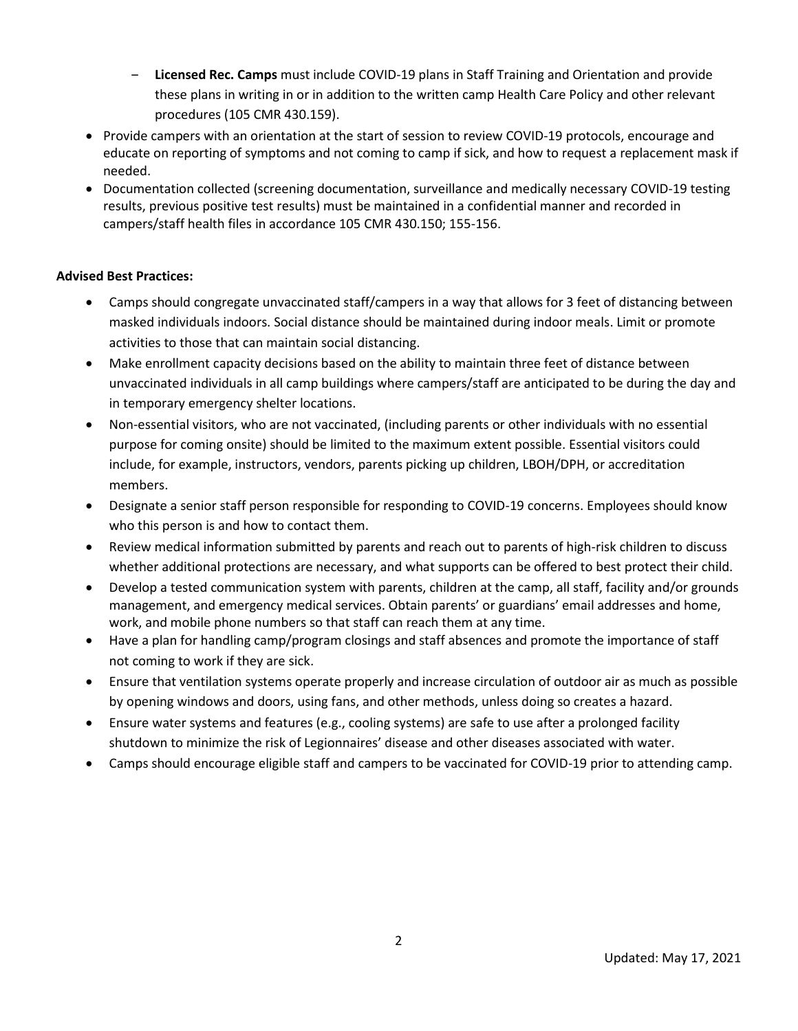- ‒ **Licensed Rec. Camps** must include COVID-19 plans in Staff Training and Orientation and provide these plans in writing in or in addition to the written camp Health Care Policy and other relevant procedures (105 CMR 430.159).
- Provide campers with an orientation at the start of session to review COVID-19 protocols, encourage and educate on reporting of symptoms and not coming to camp if sick, and how to request a replacement mask if needed.
- Documentation collected (screening documentation, surveillance and medically necessary COVID-19 testing results, previous positive test results) must be maintained in a confidential manner and recorded in campers/staff health files in accordance 105 CMR 430.150; 155-156.

- Camps should congregate unvaccinated staff/campers in a way that allows for 3 feet of distancing between masked individuals indoors. Social distance should be maintained during indoor meals. Limit or promote activities to those that can maintain social distancing.
- Make enrollment capacity decisions based on the ability to maintain three feet of distance between unvaccinated individuals in all camp buildings where campers/staff are anticipated to be during the day and in temporary emergency shelter locations.
- Non-essential visitors, who are not vaccinated, (including parents or other individuals with no essential purpose for coming onsite) should be limited to the maximum extent possible. Essential visitors could include, for example, instructors, vendors, parents picking up children, LBOH/DPH, or accreditation members.
- Designate a senior staff person responsible for responding to COVID-19 concerns. Employees should know who this person is and how to contact them.
- Review medical information submitted by parents and reach out to parents of high-risk children to discuss whether additional protections are necessary, and what supports can be offered to best protect their child.
- Develop a tested communication system with parents, children at the camp, all staff, facility and/or grounds management, and emergency medical services. Obtain parents' or guardians' email addresses and home, work, and mobile phone numbers so that staff can reach them at any time.
- Have a plan for handling camp/program closings and staff absences and promote the importance of staff not coming to work if they are sick.
- Ensure that ventilation systems operate properly and increase circulation of outdoor air as much as possible by opening windows and doors, using fans, and other methods, unless doing so creates a hazard.
- Ensure water systems and features (e.g., cooling systems) are safe to use after a prolonged facility shutdown to minimize the risk of Legionnaires' disease and other diseases associated with water.
- Camps should encourage eligible staff and campers to be vaccinated for COVID-19 prior to attending camp.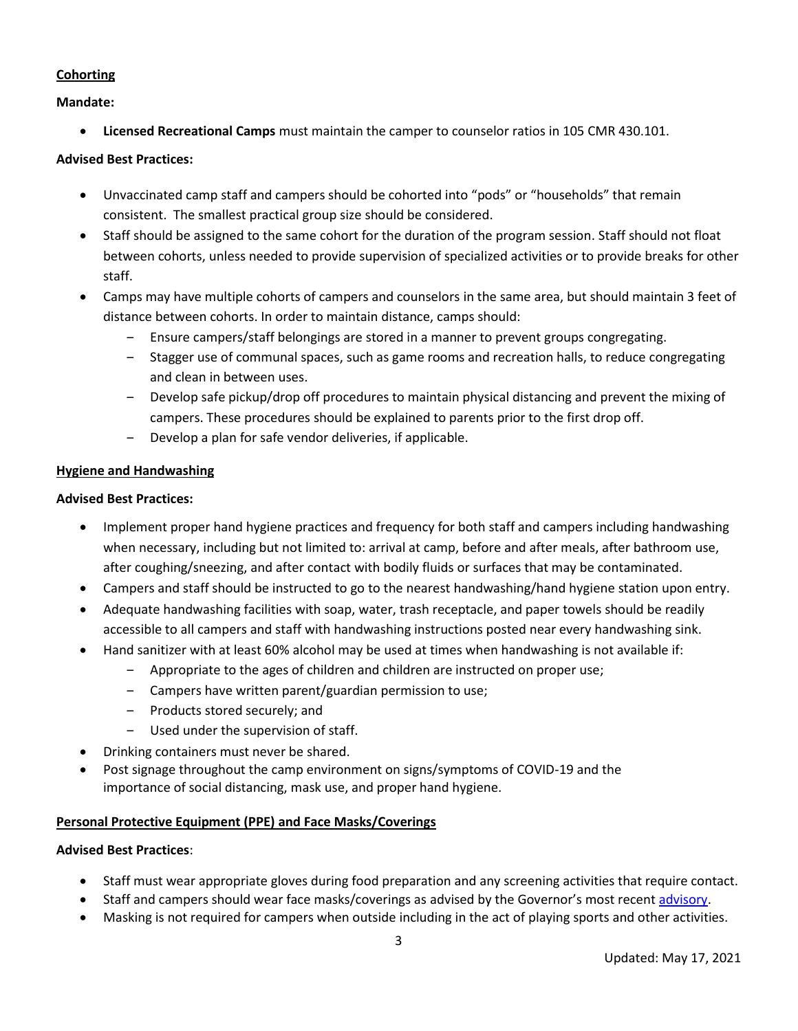# **Cohorting**

# **Mandate:**

• **Licensed Recreational Camps** must maintain the camper to counselor ratios in 105 CMR 430.101.

# **Advised Best Practices:**

- Unvaccinated camp staff and campers should be cohorted into "pods" or "households" that remain consistent. The smallest practical group size should be considered.
- Staff should be assigned to the same cohort for the duration of the program session. Staff should not float between cohorts, unless needed to provide supervision of specialized activities or to provide breaks for other staff.
- Camps may have multiple cohorts of campers and counselors in the same area, but should maintain 3 feet of distance between cohorts. In order to maintain distance, camps should:
	- ‒ Ensure campers/staff belongings are stored in a manner to prevent groups congregating.
	- Stagger use of communal spaces, such as game rooms and recreation halls, to reduce congregating and clean in between uses.
	- ‒ Develop safe pickup/drop off procedures to maintain physical distancing and prevent the mixing of campers. These procedures should be explained to parents prior to the first drop off.
	- ‒ Develop a plan for safe vendor deliveries, if applicable.

#### **Hygiene and Handwashing**

# **Advised Best Practices:**

- Implement proper hand hygiene practices and frequency for both staff and campers including handwashing when necessary, including but not limited to: arrival at camp, before and after meals, after bathroom use, after coughing/sneezing, and after contact with bodily fluids or surfaces that may be contaminated.
- Campers and staff should be instructed to go to the nearest handwashing/hand hygiene station upon entry.
- Adequate handwashing facilities with soap, water, trash receptacle, and paper towels should be readily accessible to all campers and staff with handwashing instructions posted near every handwashing sink.
- Hand sanitizer with at least 60% alcohol may be used at times when handwashing is not available if:
	- ‒ Appropriate to the ages of children and children are instructed on proper use;
	- ‒ Campers have written parent/guardian permission to use;
	- ‒ Products stored securely; and
	- ‒ Used under the supervision of staff.
- Drinking containers must never be shared.
- Post signage throughout the camp environment on signs/symptoms of COVID-19 and the importance of social distancing, mask use, and proper hand hygiene.

# **Personal Protective Equipment (PPE) and Face Masks/Coverings**

- Staff must wear appropriate gloves during food preparation and any screening activities that require contact.
- Staff and campers should wear face masks/coverings as advised by the Governor's most recent [advisory.](https://www.mass.gov/info-details/covid-19-mask-requirements)
- Masking is not required for campers when outside including in the act of playing sports and other activities.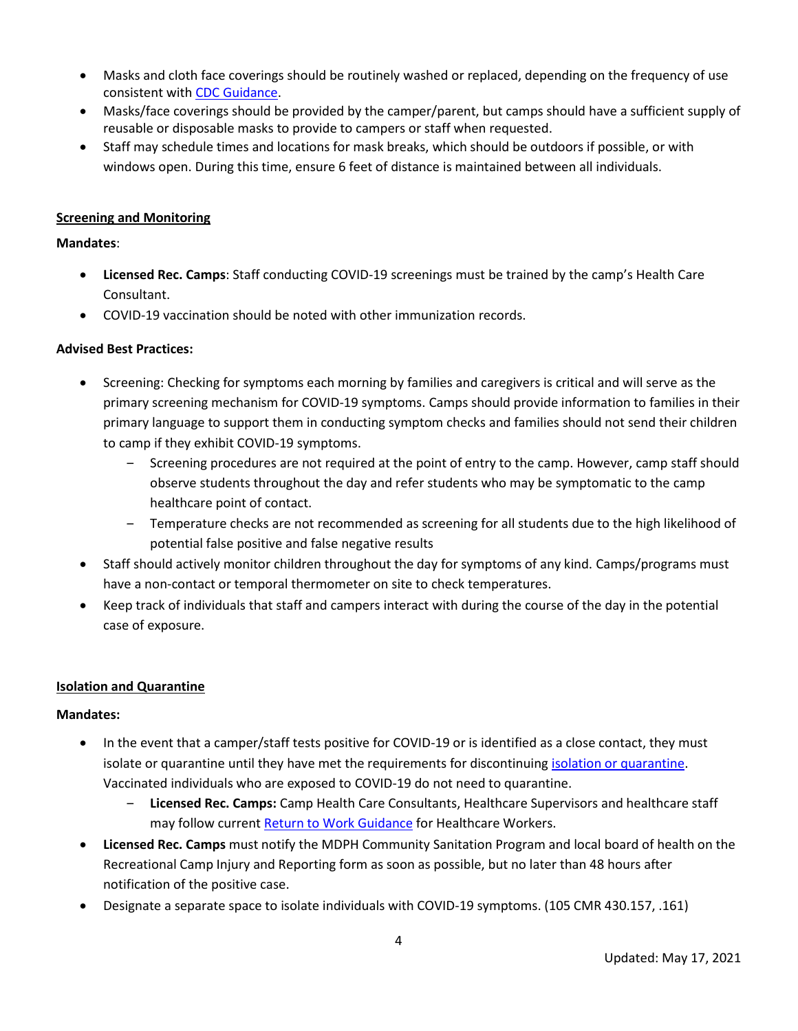- Masks and cloth face coverings should be routinely washed or replaced, depending on the frequency of use consistent with [CDC Guidance.](https://www.cdc.gov/coronavirus/2019-ncov/community/schools-childcare/summer-camps.html)
- Masks/face coverings should be provided by the camper/parent, but camps should have a sufficient supply of reusable or disposable masks to provide to campers or staff when requested.
- Staff may schedule times and locations for mask breaks, which should be outdoors if possible, or with windows open. During this time, ensure 6 feet of distance is maintained between all individuals.

# **Screening and Monitoring**

# **Mandates**:

- **Licensed Rec. Camps**: Staff conducting COVID-19 screenings must be trained by the camp's Health Care Consultant.
- COVID-19 vaccination should be noted with other immunization records.

# **Advised Best Practices:**

- Screening: Checking for symptoms each morning by families and caregivers is critical and will serve as the primary screening mechanism for COVID-19 symptoms. Camps should provide information to families in their primary language to support them in conducting symptom checks and families should not send their children to camp if they exhibit COVID-19 symptoms.
	- ‒ Screening procedures are not required at the point of entry to the camp. However, camp staff should observe students throughout the day and refer students who may be symptomatic to the camp healthcare point of contact.
	- ‒ Temperature checks are not recommended as screening for all students due to the high likelihood of potential false positive and false negative results
- Staff should actively monitor children throughout the day for symptoms of any kind. Camps/programs must have a non-contact or temporal thermometer on site to check temperatures.
- Keep track of individuals that staff and campers interact with during the course of the day in the potential case of exposure.

# **Isolation and Quarantine**

#### **Mandates:**

- In the event that a camper/staff tests positive for COVID-19 or is identified as a close contact, they must isolate or quarantine until they have met the requirements for discontinuing [isolation or quarantine.](https://www.mass.gov/info-details/covid-19-isolation-and-quarantine-information) Vaccinated individuals who are exposed to COVID-19 do not need to quarantine.
	- ‒ **Licensed Rec. Camps:** Camp Health Care Consultants, Healthcare Supervisors and healthcare staff may follow curren[t Return to Work Guidance](https://www.mass.gov/doc/return-to-work-guidance/download) for Healthcare Workers.
- **Licensed Rec. Camps** must notify the MDPH Community Sanitation Program and local board of health on the Recreational Camp Injury and Reporting form as soon as possible, but no later than 48 hours after notification of the positive case.
- Designate a separate space to isolate individuals with COVID-19 symptoms. (105 CMR 430.157, .161)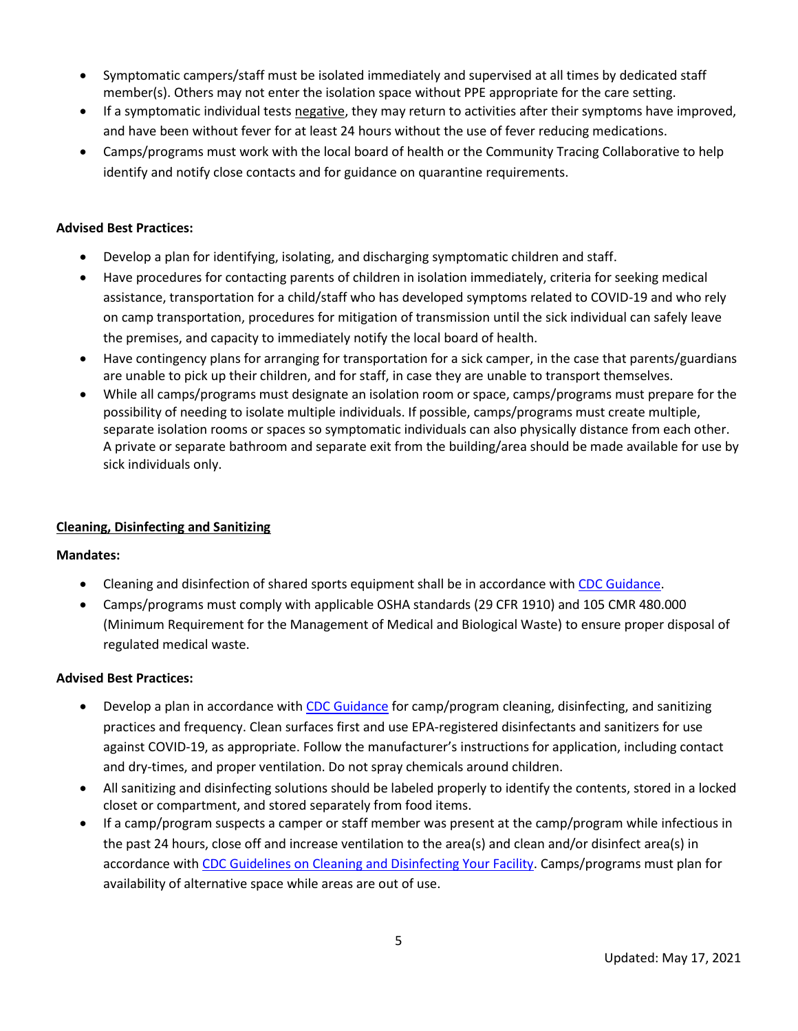- Symptomatic campers/staff must be isolated immediately and supervised at all times by dedicated staff member(s). Others may not enter the isolation space without PPE appropriate for the care setting.
- If a symptomatic individual tests negative, they may return to activities after their symptoms have improved, and have been without fever for at least 24 hours without the use of fever reducing medications.
- Camps/programs must work with the local board of health or the Community Tracing Collaborative to help identify and notify close contacts and for guidance on quarantine requirements.

# **Advised Best Practices:**

- Develop a plan for identifying, isolating, and discharging symptomatic children and staff.
- Have procedures for contacting parents of children in isolation immediately, criteria for seeking medical assistance, transportation for a child/staff who has developed symptoms related to COVID-19 and who rely on camp transportation, procedures for mitigation of transmission until the sick individual can safely leave the premises, and capacity to immediately notify the local board of health.
- Have contingency plans for arranging for transportation for a sick camper, in the case that parents/guardians are unable to pick up their children, and for staff, in case they are unable to transport themselves.
- While all camps/programs must designate an isolation room or space, camps/programs must prepare for the possibility of needing to isolate multiple individuals. If possible, camps/programs must create multiple, separate isolation rooms or spaces so symptomatic individuals can also physically distance from each other. A private or separate bathroom and separate exit from the building/area should be made available for use by sick individuals only.

# **Cleaning, Disinfecting and Sanitizing**

#### **Mandates:**

- Cleaning and disinfection of shared sports equipment shall be in accordance with [CDC Guidance.](https://www.cdc.gov/coronavirus/2019-ncov/community/schools-childcare/clean-disinfect-hygiene.html)
- Camps/programs must comply with applicable OSHA standards (29 CFR 1910) and 105 CMR 480.000 (Minimum Requirement for the Management of Medical and Biological Waste) to ensure proper disposal of regulated medical waste.

- Develop a plan in accordance with [CDC Guidance](https://www.cdc.gov/coronavirus/2019-ncov/community/schools-childcare/summer-camps.html) for camp/program cleaning, disinfecting, and sanitizing practices and frequency. Clean surfaces first and use EPA-registered disinfectants and sanitizers for use against COVID-19, as appropriate. Follow the manufacturer's instructions for application, including contact and dry-times, and proper ventilation. Do not spray chemicals around children.
- All sanitizing and disinfecting solutions should be labeled properly to identify the contents, stored in a locked closet or compartment, and stored separately from food items.
- If a camp/program suspects a camper or staff member was present at the camp/program while infectious in the past 24 hours, close off and increase ventilation to the area(s) and clean and/or disinfect area(s) in accordance with [CDC Guidelines on Cleaning and Disinfecting Your Facility.](https://www.cdc.gov/coronavirus/2019-ncov/community/disinfecting-building-facility.html) Camps/programs must plan for availability of alternative space while areas are out of use.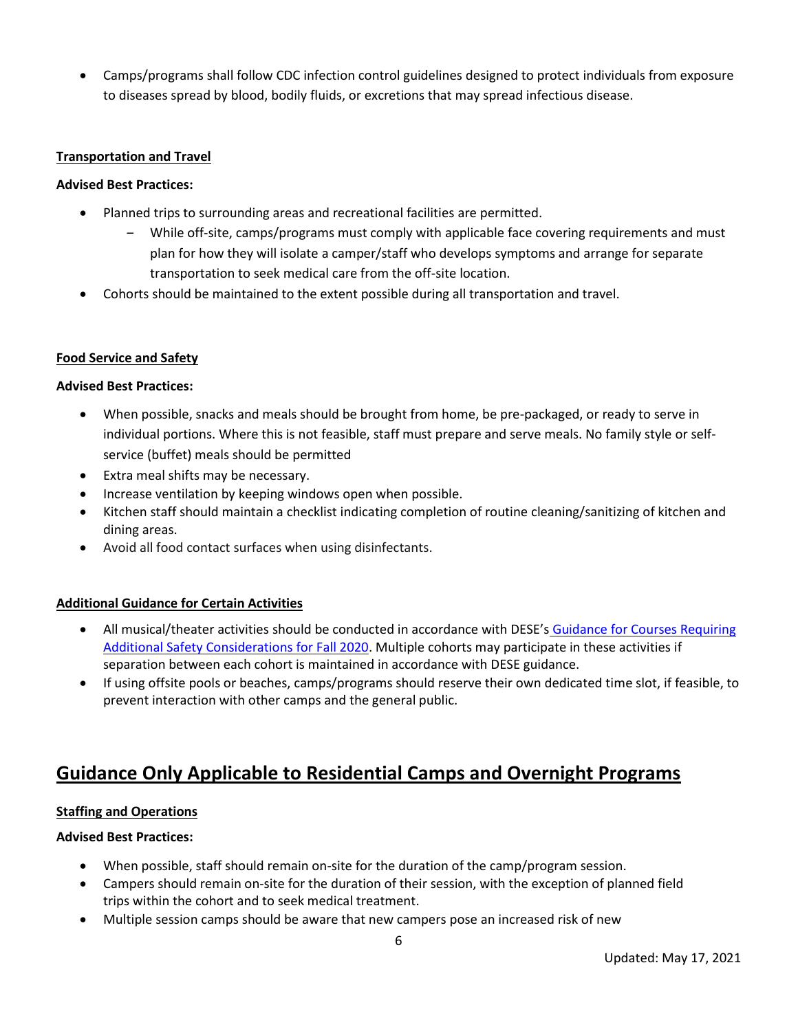• Camps/programs shall follow CDC infection control guidelines designed to protect individuals from exposure to diseases spread by blood, bodily fluids, or excretions that may spread infectious disease.

# **Transportation and Travel**

#### **Advised Best Practices:**

- Planned trips to surrounding areas and recreational facilities are permitted.
	- ‒ While off-site, camps/programs must comply with applicable face covering requirements and must plan for how they will isolate a camper/staff who develops symptoms and arrange for separate transportation to seek medical care from the off-site location.
- Cohorts should be maintained to the extent possible during all transportation and travel.

#### **Food Service and Safety**

# **Advised Best Practices:**

- When possible, snacks and meals should be brought from home, be pre-packaged, or ready to serve in individual portions. Where this is not feasible, staff must prepare and serve meals. No family style or selfservice (buffet) meals should be permitted
- Extra meal shifts may be necessary.
- Increase ventilation by keeping windows open when possible.
- Kitchen staff should maintain a checklist indicating completion of routine cleaning/sanitizing of kitchen and dining areas.
- Avoid all food contact surfaces when using disinfectants.

# **Additional Guidance for Certain Activities**

- All musical/theater activities should be conducted in accordance with DESE's Guidance for Courses Requiring Additional Safety [Considerations for Fall 2020.](https://www.doe.mass.edu/covid19/return-to-school/supplement/additional-safety-guide.docx) Multiple cohorts may participate in these activities if separation between each cohort is maintained in accordance with DESE guidance.
- If using offsite pools or beaches, camps/programs should reserve their own dedicated time slot, if feasible, to prevent interaction with other camps and the general public.

# **Guidance Only Applicable to Residential Camps and Overnight Programs**

# **Staffing and Operations**

- When possible, staff should remain on-site for the duration of the camp/program session.
- Campers should remain on-site for the duration of their session, with the exception of planned field trips within the cohort and to seek medical treatment.
- Multiple session camps should be aware that new campers pose an increased risk of new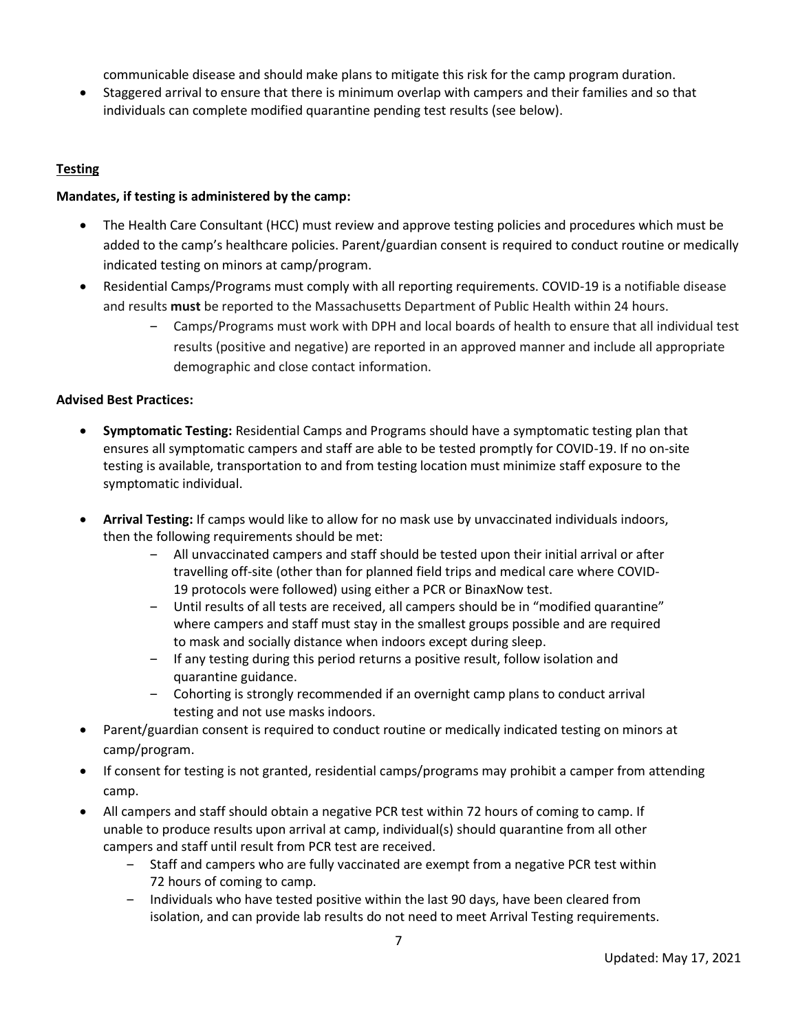communicable disease and should make plans to mitigate this risk for the camp program duration.

• Staggered arrival to ensure that there is minimum overlap with campers and their families and so that individuals can complete modified quarantine pending test results (see below).

# **Testing**

# **Mandates, if testing is administered by the camp:**

- The Health Care Consultant (HCC) must review and approve testing policies and procedures which must be added to the camp's healthcare policies. Parent/guardian consent is required to conduct routine or medically indicated testing on minors at camp/program.
- Residential Camps/Programs must comply with all reporting requirements. COVID-19 is a notifiable disease and results **must** be reported to the Massachusetts Department of Public Health within 24 hours.
	- ‒ Camps/Programs must work with DPH and local boards of health to ensure that all individual test results (positive and negative) are reported in an approved manner and include all appropriate demographic and close contact information.

- **Symptomatic Testing:** Residential Camps and Programs should have a symptomatic testing plan that ensures all symptomatic campers and staff are able to be tested promptly for COVID-19. If no on-site testing is available, transportation to and from testing location must minimize staff exposure to the symptomatic individual.
- **Arrival Testing:** If camps would like to allow for no mask use by unvaccinated individuals indoors, then the following requirements should be met:
	- ‒ All unvaccinated campers and staff should be tested upon their initial arrival or after travelling off-site (other than for planned field trips and medical care where COVID-19 protocols were followed) using either a PCR or BinaxNow test.
	- ‒ Until results of all tests are received, all campers should be in "modified quarantine" where campers and staff must stay in the smallest groups possible and are required to mask and socially distance when indoors except during sleep.
	- ‒ If any testing during this period returns a positive result, follow isolation and quarantine guidance.
	- ‒ Cohorting is strongly recommended if an overnight camp plans to conduct arrival testing and not use masks indoors.
- Parent/guardian consent is required to conduct routine or medically indicated testing on minors at camp/program.
- If consent for testing is not granted, residential camps/programs may prohibit a camper from attending camp.
- All campers and staff should obtain a negative PCR test within 72 hours of coming to camp. If unable to produce results upon arrival at camp, individual(s) should quarantine from all other campers and staff until result from PCR test are received.
	- Staff and campers who are fully vaccinated are exempt from a negative PCR test within 72 hours of coming to camp.
	- ‒ Individuals who have tested positive within the last 90 days, have been cleared from isolation, and can provide lab results do not need to meet Arrival Testing requirements.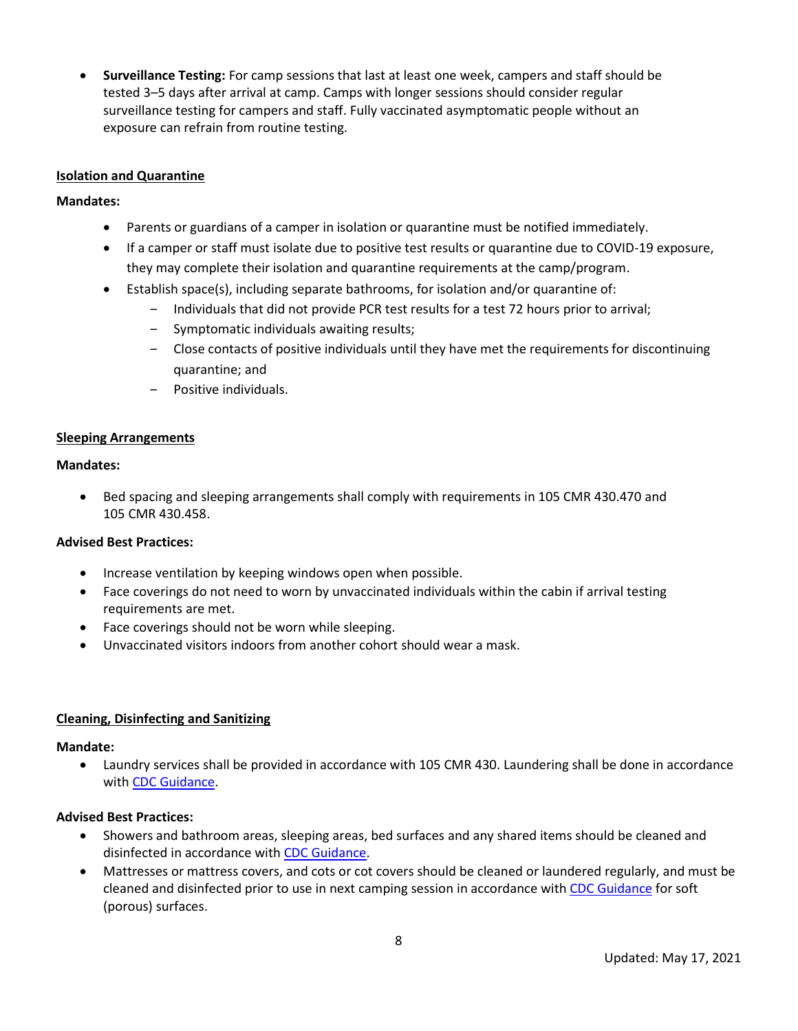• **Surveillance Testing:** For camp sessions that last at least one week, campers and staff should be tested 3–5 days after arrival at camp. Camps with longer sessions should consider regular surveillance testing for campers and staff. Fully vaccinated asymptomatic people without an exposure can refrain from routine testing.

# **Isolation and Quarantine**

#### **Mandates:**

- Parents or guardians of a camper in isolation or quarantine must be notified immediately.
- If a camper or staff must isolate due to positive test results or quarantine due to COVID-19 exposure, they may complete their isolation and quarantine requirements at the camp/program.
- Establish space(s), including separate bathrooms, for isolation and/or quarantine of:
	- ‒ Individuals that did not provide PCR test results for a test 72 hours prior to arrival;
	- ‒ Symptomatic individuals awaiting results;
	- ‒ Close contacts of positive individuals until they have met the requirements for discontinuing quarantine; and
	- ‒ Positive individuals.

#### **Sleeping Arrangements**

#### **Mandates:**

• Bed spacing and sleeping arrangements shall comply with requirements in 105 CMR 430.470 and 105 CMR 430.458.

#### **Advised Best Practices:**

- Increase ventilation by keeping windows open when possible.
- Face coverings do not need to worn by unvaccinated individuals within the cabin if arrival testing requirements are met.
- Face coverings should not be worn while sleeping.
- Unvaccinated visitors indoors from another cohort should wear a mask.

#### **Cleaning, Disinfecting and Sanitizing**

#### **Mandate:**

• Laundry services shall be provided in accordance with 105 CMR 430. Laundering shall be done in accordance wit[h CDC Guidance.](https://www.cdc.gov/coronavirus/2019-ncov/community/disinfecting-building-facility.html)

- Showers and bathroom areas, sleeping areas, bed surfaces and any shared items should be cleaned and disinfected in accordance with [CDC Guidance.](https://www.cdc.gov/coronavirus/2019-ncov/community/disinfecting-building-facility.html?CDC_AA_refVal=https%3A%2F%2Fwww.cdc.gov%2Fcoronavirus%2F2019-ncov%2Fcommunity%2Forganizations%2Fcleaning-disinfection.html)
- Mattresses or mattress covers, and cots or cot covers should be cleaned or laundered regularly, and must be cleaned and disinfected prior to use in next camping session in accordance with [CDC Guidance](https://www.cdc.gov/coronavirus/2019-ncov/community/disinfecting-building-facility.html?CDC_AA_refVal=https%3A%2F%2Fwww.cdc.gov%2Fcoronavirus%2F2019-ncov%2Fcommunity%2Forganizations%2Fcleaning-disinfection.html) for soft (porous) surfaces.